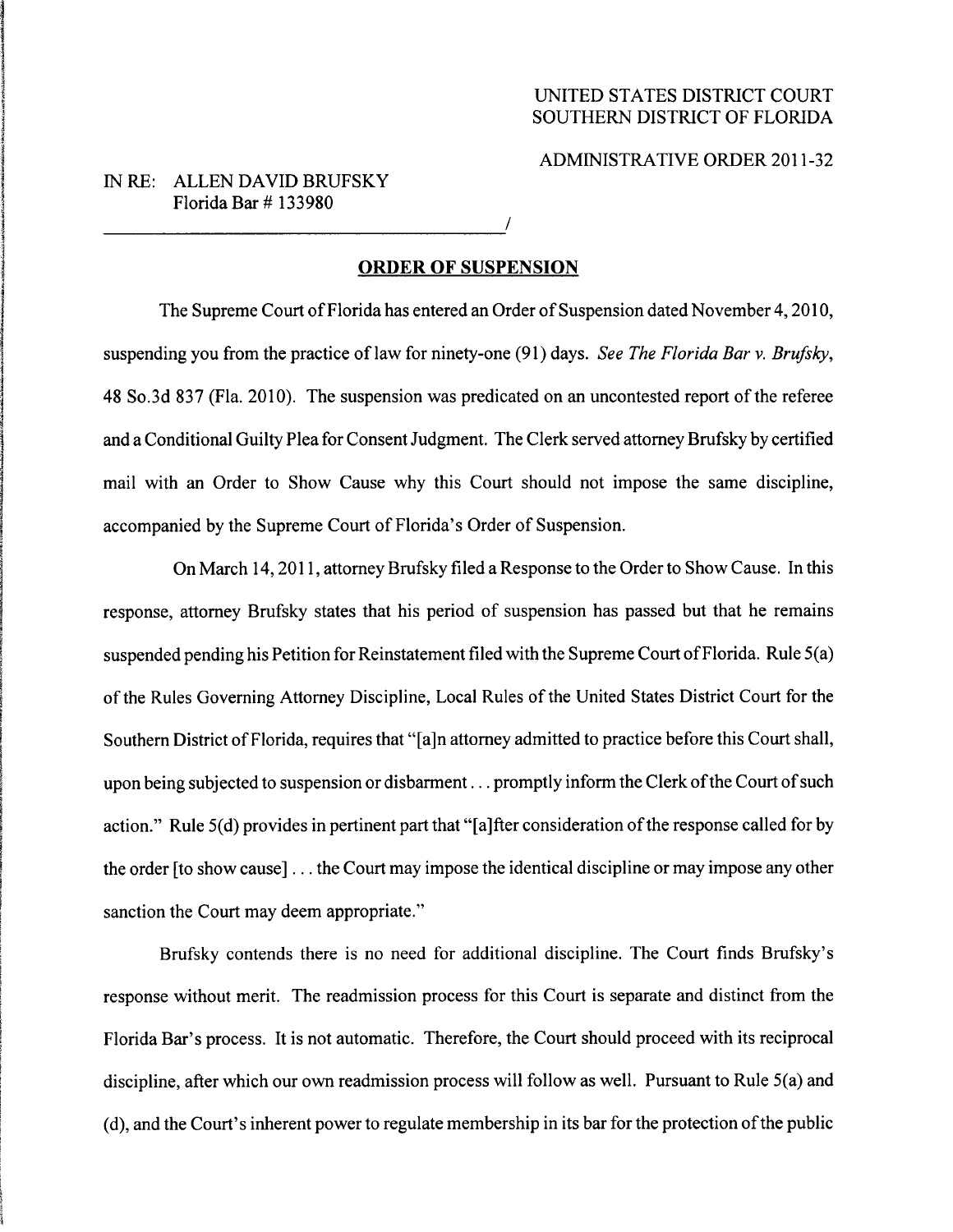## ADMINISTRATIVE ORDER 2011-32

## IN RE: ALLEN DAVID BRUFSKY Florida Bar #133980

## ORDER OF SUSPENSION

The Supreme Court of Florida has entered an Order of Suspension dated November 4,2010, suspending you from the practice of law for ninety-one (91) days. See The Florida Bar v. Brufsky, 48 So.3d 837 (Fla. 2010). The suspension was predicated on an uncontested report of the referee and a Conditional Guilty Plea for Consent Judgment. The Clerk served attorney Brufsky by certified mail with an Order to Show Cause why this Court should not impose the same discipline, accompanied by the Supreme Court of Florida's Order of Suspension.

On March 14, 2011, attorney Brufsky filed a Response to the Order to Show Cause. In this response, attorney Brufsky states that his period of suspension has passed but that he remains suspended pending his Petition for Reinstatement filed with the Supreme Court of Florida. Rule 5(a) of the Rules Governing Attorney Discipline, Local Rules of the United States District Court for the Southern District of Florida, requires that "[a]n attorney admitted to practice before this Court shall, upon being subjected to suspension or disbarment... promptly inform the Clerk of the Court of such action." Rule 5(d) provides in pertinent part that "[a]fter consideration of the response called for by the order [to show cause]... the Court may impose the identical discipline or may impose any other sanction the Court may deem appropriate."

Brufsky contends there is no need for additional discipline. The Court finds Brufsky's response without merit. The readmission process for this Court is separate and distinct from the Florida Bar's process. It is not automatic. Therefore, the Court should proceed with its reciprocal discipline, after which our own readmission process will follow as well. Pursuant to Rule 5(a) and (d), and the Court's inherent power to regulate membership in its bar for the protection of the public